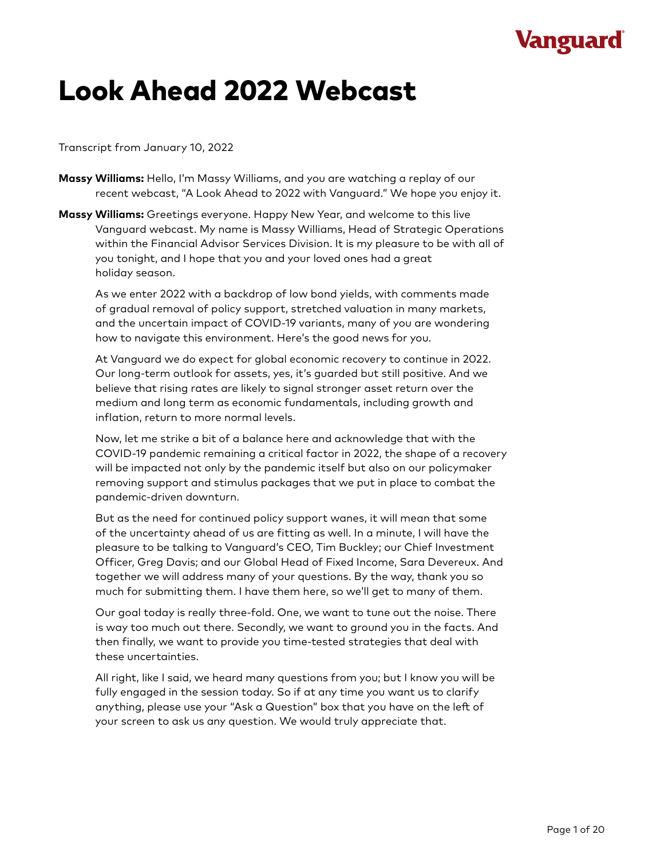# *V***anguard**

# Look Ahead 2022 Webcast

### Transcript from January 10, 2022

- **Massy Williams:** Hello, I'm Massy Williams, and you are watching a replay of our recent webcast, "A Look Ahead to 2022 with Vanguard." We hope you enjoy it.
- **Massy Williams:** Greetings everyone. Happy New Year, and welcome to this live Vanguard webcast. My name is Massy Williams, Head of Strategic Operations within the Financial Advisor Services Division. It is my pleasure to be with all of you tonight, and I hope that you and your loved ones had a great holiday season.

As we enter 2022 with a backdrop of low bond yields, with comments made of gradual removal of policy support, stretched valuation in many markets, and the uncertain impact of COVID-19 variants, many of you are wondering how to navigate this environment. Here's the good news for you.

At Vanguard we do expect for global economic recovery to continue in 2022. Our long-term outlook for assets, yes, it's guarded but still positive. And we believe that rising rates are likely to signal stronger asset return over the medium and long term as economic fundamentals, including growth and inflation, return to more normal levels.

Now, let me strike a bit of a balance here and acknowledge that with the COVID-19 pandemic remaining a critical factor in 2022, the shape of a recovery will be impacted not only by the pandemic itself but also on our policymaker removing support and stimulus packages that we put in place to combat the pandemic-driven downturn.

But as the need for continued policy support wanes, it will mean that some of the uncertainty ahead of us are fitting as well. In a minute, I will have the pleasure to be talking to Vanguard's CEO, Tim Buckley; our Chief Investment Officer, Greg Davis; and our Global Head of Fixed Income, Sara Devereux. And together we will address many of your questions. By the way, thank you so much for submitting them. I have them here, so we'll get to many of them.

Our goal today is really three-fold. One, we want to tune out the noise. There is way too much out there. Secondly, we want to ground you in the facts. And then finally, we want to provide you time-tested strategies that deal with these uncertainties.

All right, like I said, we heard many questions from you; but I know you will be fully engaged in the session today. So if at any time you want us to clarify anything, please use your "Ask a Question" box that you have on the left of your screen to ask us any question. We would truly appreciate that.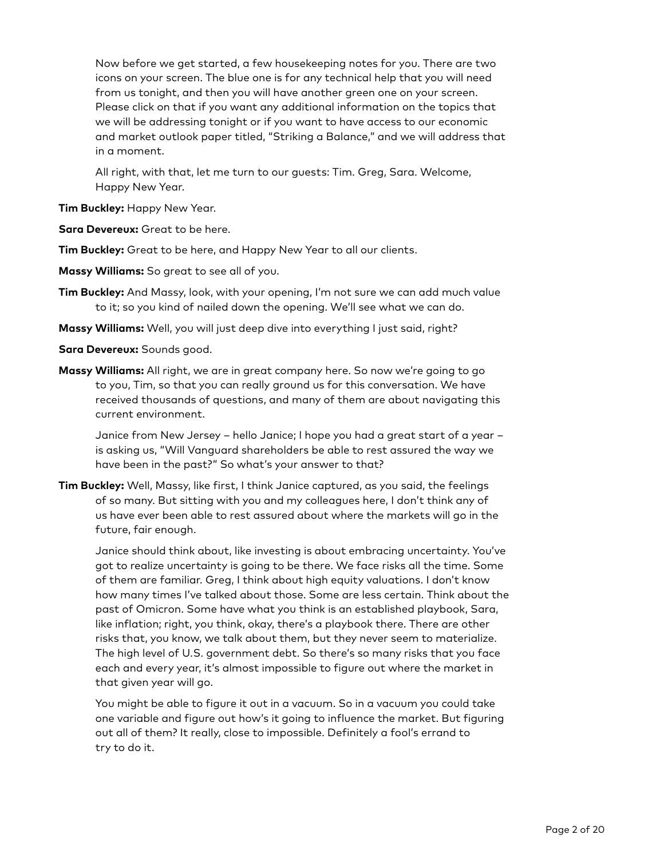Now before we get started, a few housekeeping notes for you. There are two icons on your screen. The blue one is for any technical help that you will need from us tonight, and then you will have another green one on your screen. Please click on that if you want any additional information on the topics that we will be addressing tonight or if you want to have access to our economic and market outlook paper titled, "Striking a Balance," and we will address that in a moment.

All right, with that, let me turn to our guests: Tim. Greg, Sara. Welcome, Happy New Year.

**Tim Buckley:** Happy New Year.

**Sara Devereux:** Great to be here.

**Tim Buckley:** Great to be here, and Happy New Year to all our clients.

- **Massy Williams:** So great to see all of you.
- **Tim Buckley:** And Massy, look, with your opening, I'm not sure we can add much value to it; so you kind of nailed down the opening. We'll see what we can do.
- **Massy Williams:** Well, you will just deep dive into everything I just said, right?

**Sara Devereux:** Sounds good.

**Massy Williams:** All right, we are in great company here. So now we're going to go to you, Tim, so that you can really ground us for this conversation. We have received thousands of questions, and many of them are about navigating this current environment.

Janice from New Jersey – hello Janice; I hope you had a great start of a year – is asking us, "Will Vanguard shareholders be able to rest assured the way we have been in the past?" So what's your answer to that?

**Tim Buckley:** Well, Massy, like first, I think Janice captured, as you said, the feelings of so many. But sitting with you and my colleagues here, I don't think any of us have ever been able to rest assured about where the markets will go in the future, fair enough.

Janice should think about, like investing is about embracing uncertainty. You've got to realize uncertainty is going to be there. We face risks all the time. Some of them are familiar. Greg, I think about high equity valuations. I don't know how many times I've talked about those. Some are less certain. Think about the past of Omicron. Some have what you think is an established playbook, Sara, like inflation; right, you think, okay, there's a playbook there. There are other risks that, you know, we talk about them, but they never seem to materialize. The high level of U.S. government debt. So there's so many risks that you face each and every year, it's almost impossible to figure out where the market in that given year will go.

You might be able to figure it out in a vacuum. So in a vacuum you could take one variable and figure out how's it going to influence the market. But figuring out all of them? It really, close to impossible. Definitely a fool's errand to try to do it.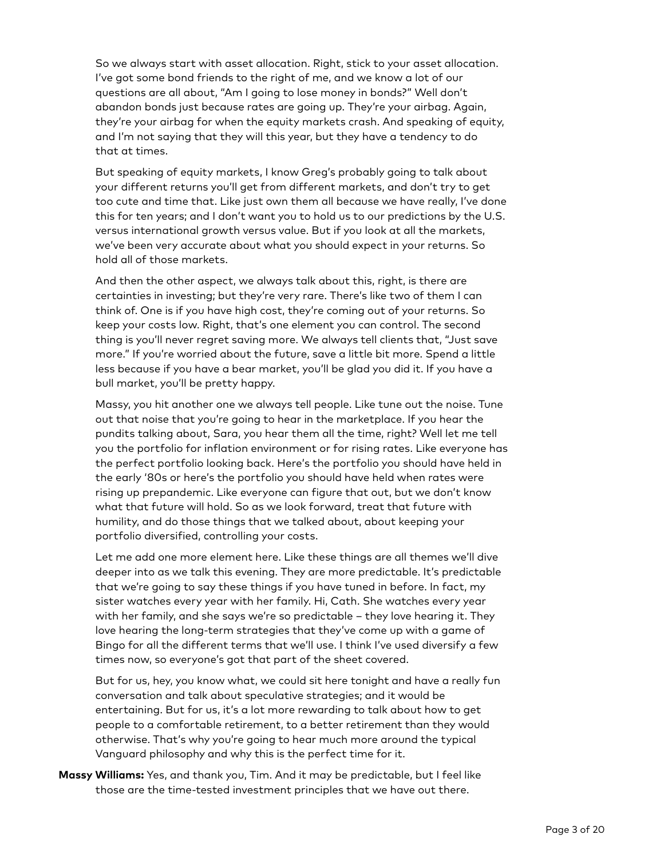So we always start with asset allocation. Right, stick to your asset allocation. I've got some bond friends to the right of me, and we know a lot of our questions are all about, "Am I going to lose money in bonds?" Well don't abandon bonds just because rates are going up. They're your airbag. Again, they're your airbag for when the equity markets crash. And speaking of equity, and I'm not saying that they will this year, but they have a tendency to do that at times.

But speaking of equity markets, I know Greg's probably going to talk about your different returns you'll get from different markets, and don't try to get too cute and time that. Like just own them all because we have really, I've done this for ten years; and I don't want you to hold us to our predictions by the U.S. versus international growth versus value. But if you look at all the markets, we've been very accurate about what you should expect in your returns. So hold all of those markets.

And then the other aspect, we always talk about this, right, is there are certainties in investing; but they're very rare. There's like two of them I can think of. One is if you have high cost, they're coming out of your returns. So keep your costs low. Right, that's one element you can control. The second thing is you'll never regret saving more. We always tell clients that, "Just save more." If you're worried about the future, save a little bit more. Spend a little less because if you have a bear market, you'll be glad you did it. If you have a bull market, you'll be pretty happy.

Massy, you hit another one we always tell people. Like tune out the noise. Tune out that noise that you're going to hear in the marketplace. If you hear the pundits talking about, Sara, you hear them all the time, right? Well let me tell you the portfolio for inflation environment or for rising rates. Like everyone has the perfect portfolio looking back. Here's the portfolio you should have held in the early '80s or here's the portfolio you should have held when rates were rising up prepandemic. Like everyone can figure that out, but we don't know what that future will hold. So as we look forward, treat that future with humility, and do those things that we talked about, about keeping your portfolio diversified, controlling your costs.

Let me add one more element here. Like these things are all themes we'll dive deeper into as we talk this evening. They are more predictable. It's predictable that we're going to say these things if you have tuned in before. In fact, my sister watches every year with her family. Hi, Cath. She watches every year with her family, and she says we're so predictable – they love hearing it. They love hearing the long-term strategies that they've come up with a game of Bingo for all the different terms that we'll use. I think I've used diversify a few times now, so everyone's got that part of the sheet covered.

But for us, hey, you know what, we could sit here tonight and have a really fun conversation and talk about speculative strategies; and it would be entertaining. But for us, it's a lot more rewarding to talk about how to get people to a comfortable retirement, to a better retirement than they would otherwise. That's why you're going to hear much more around the typical Vanguard philosophy and why this is the perfect time for it.

**Massy Williams:** Yes, and thank you, Tim. And it may be predictable, but I feel like those are the time-tested investment principles that we have out there.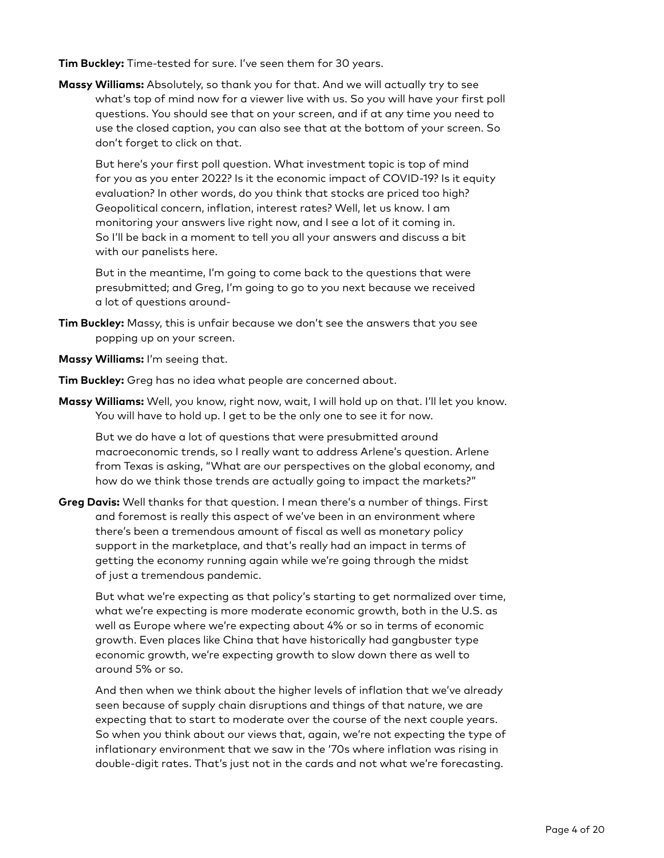**Tim Buckley:** Time-tested for sure. I've seen them for 30 years.

**Massy Williams:** Absolutely, so thank you for that. And we will actually try to see what's top of mind now for a viewer live with us. So you will have your first poll questions. You should see that on your screen, and if at any time you need to use the closed caption, you can also see that at the bottom of your screen. So don't forget to click on that.

But here's your first poll question. What investment topic is top of mind for you as you enter 2022? Is it the economic impact of COVID-19? Is it equity evaluation? In other words, do you think that stocks are priced too high? Geopolitical concern, inflation, interest rates? Well, let us know. I am monitoring your answers live right now, and I see a lot of it coming in. So I'll be back in a moment to tell you all your answers and discuss a bit with our panelists here.

But in the meantime, I'm going to come back to the questions that were presubmitted; and Greg, I'm going to go to you next because we received a lot of questions around-

- **Tim Buckley:** Massy, this is unfair because we don't see the answers that you see popping up on your screen.
- **Massy Williams:** I'm seeing that.

**Tim Buckley:** Greg has no idea what people are concerned about.

**Massy Williams:** Well, you know, right now, wait, I will hold up on that. I'll let you know. You will have to hold up. I get to be the only one to see it for now.

But we do have a lot of questions that were presubmitted around macroeconomic trends, so I really want to address Arlene's question. Arlene from Texas is asking, "What are our perspectives on the global economy, and how do we think those trends are actually going to impact the markets?"

**Greg Davis:** Well thanks for that question. I mean there's a number of things. First and foremost is really this aspect of we've been in an environment where there's been a tremendous amount of fiscal as well as monetary policy support in the marketplace, and that's really had an impact in terms of getting the economy running again while we're going through the midst of just a tremendous pandemic.

But what we're expecting as that policy's starting to get normalized over time, what we're expecting is more moderate economic growth, both in the U.S. as well as Europe where we're expecting about 4% or so in terms of economic growth. Even places like China that have historically had gangbuster type economic growth, we're expecting growth to slow down there as well to around 5% or so.

And then when we think about the higher levels of inflation that we've already seen because of supply chain disruptions and things of that nature, we are expecting that to start to moderate over the course of the next couple years. So when you think about our views that, again, we're not expecting the type of inflationary environment that we saw in the '70s where inflation was rising in double-digit rates. That's just not in the cards and not what we're forecasting.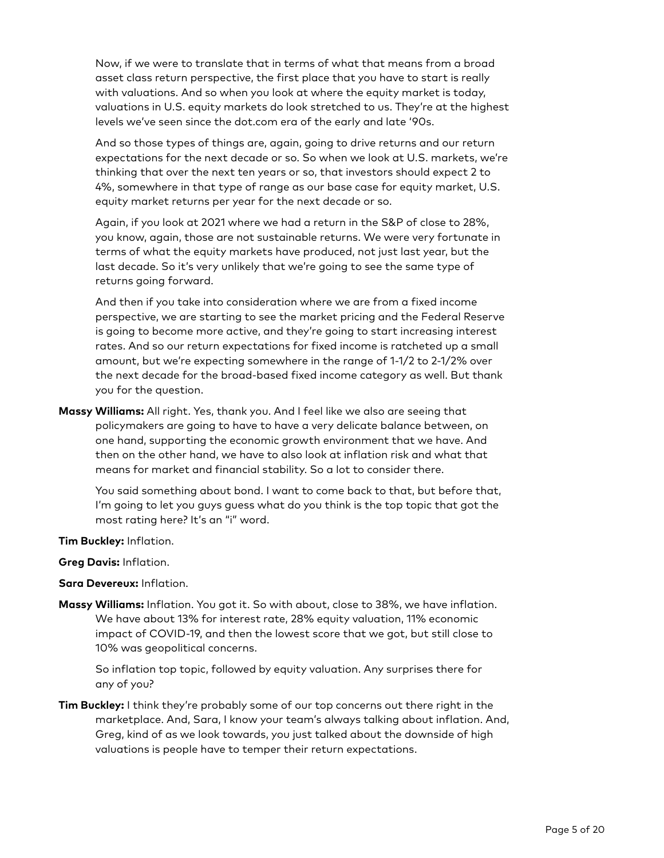Now, if we were to translate that in terms of what that means from a broad asset class return perspective, the first place that you have to start is really with valuations. And so when you look at where the equity market is today, valuations in U.S. equity markets do look stretched to us. They're at the highest levels we've seen since the dot.com era of the early and late '90s.

And so those types of things are, again, going to drive returns and our return expectations for the next decade or so. So when we look at U.S. markets, we're thinking that over the next ten years or so, that investors should expect 2 to 4%, somewhere in that type of range as our base case for equity market, U.S. equity market returns per year for the next decade or so.

Again, if you look at 2021 where we had a return in the S&P of close to 28%, you know, again, those are not sustainable returns. We were very fortunate in terms of what the equity markets have produced, not just last year, but the last decade. So it's very unlikely that we're going to see the same type of returns going forward.

And then if you take into consideration where we are from a fixed income perspective, we are starting to see the market pricing and the Federal Reserve is going to become more active, and they're going to start increasing interest rates. And so our return expectations for fixed income is ratcheted up a small amount, but we're expecting somewhere in the range of 1-1/2 to 2-1/2% over the next decade for the broad-based fixed income category as well. But thank you for the question.

**Massy Williams:** All right. Yes, thank you. And I feel like we also are seeing that policymakers are going to have to have a very delicate balance between, on one hand, supporting the economic growth environment that we have. And then on the other hand, we have to also look at inflation risk and what that means for market and financial stability. So a lot to consider there.

You said something about bond. I want to come back to that, but before that, I'm going to let you guys guess what do you think is the top topic that got the most rating here? It's an "i" word.

**Tim Buckley:** Inflation.

**Greg Davis:** Inflation.

**Sara Devereux:** Inflation.

**Massy Williams:** Inflation. You got it. So with about, close to 38%, we have inflation. We have about 13% for interest rate, 28% equity valuation, 11% economic impact of COVID-19, and then the lowest score that we got, but still close to 10% was geopolitical concerns.

So inflation top topic, followed by equity valuation. Any surprises there for any of you?

**Tim Buckley:** I think they're probably some of our top concerns out there right in the marketplace. And, Sara, I know your team's always talking about inflation. And, Greg, kind of as we look towards, you just talked about the downside of high valuations is people have to temper their return expectations.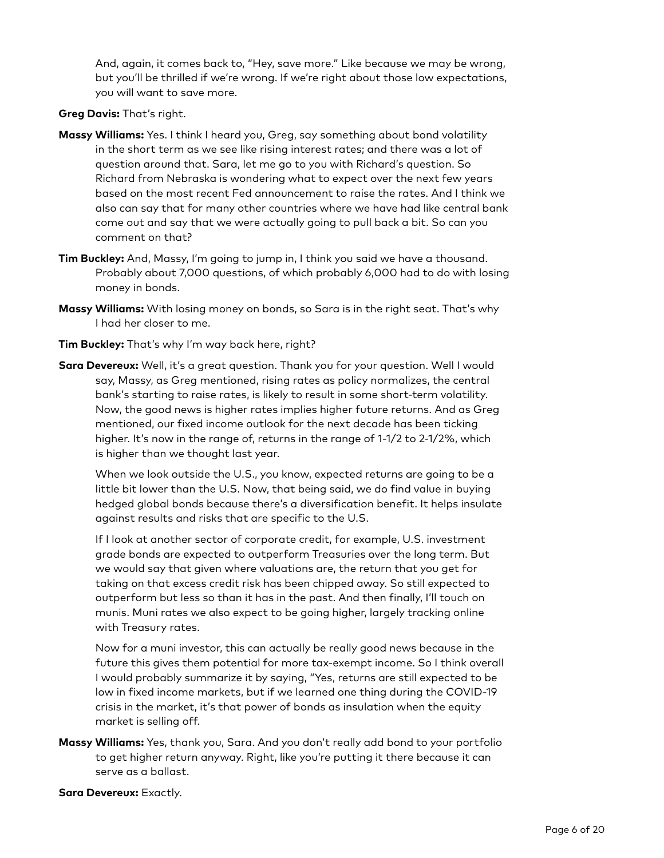And, again, it comes back to, "Hey, save more." Like because we may be wrong, but you'll be thrilled if we're wrong. If we're right about those low expectations, you will want to save more.

### **Greg Davis:** That's right.

- **Massy Williams:** Yes. I think I heard you, Greg, say something about bond volatility in the short term as we see like rising interest rates; and there was a lot of question around that. Sara, let me go to you with Richard's question. So Richard from Nebraska is wondering what to expect over the next few years based on the most recent Fed announcement to raise the rates. And I think we also can say that for many other countries where we have had like central bank come out and say that we were actually going to pull back a bit. So can you comment on that?
- **Tim Buckley:** And, Massy, I'm going to jump in, I think you said we have a thousand. Probably about 7,000 questions, of which probably 6,000 had to do with losing money in bonds.
- **Massy Williams:** With losing money on bonds, so Sara is in the right seat. That's why I had her closer to me.
- **Tim Buckley:** That's why I'm way back here, right?
- **Sara Devereux:** Well, it's a great question. Thank you for your question. Well I would say, Massy, as Greg mentioned, rising rates as policy normalizes, the central bank's starting to raise rates, is likely to result in some short-term volatility. Now, the good news is higher rates implies higher future returns. And as Greg mentioned, our fixed income outlook for the next decade has been ticking higher. It's now in the range of, returns in the range of 1-1/2 to 2-1/2%, which is higher than we thought last year.

When we look outside the U.S., you know, expected returns are going to be a little bit lower than the U.S. Now, that being said, we do find value in buying hedged global bonds because there's a diversification benefit. It helps insulate against results and risks that are specific to the U.S.

If I look at another sector of corporate credit, for example, U.S. investment grade bonds are expected to outperform Treasuries over the long term. But we would say that given where valuations are, the return that you get for taking on that excess credit risk has been chipped away. So still expected to outperform but less so than it has in the past. And then finally, I'll touch on munis. Muni rates we also expect to be going higher, largely tracking online with Treasury rates.

Now for a muni investor, this can actually be really good news because in the future this gives them potential for more tax-exempt income. So I think overall I would probably summarize it by saying, "Yes, returns are still expected to be low in fixed income markets, but if we learned one thing during the COVID-19 crisis in the market, it's that power of bonds as insulation when the equity market is selling off.

**Massy Williams:** Yes, thank you, Sara. And you don't really add bond to your portfolio to get higher return anyway. Right, like you're putting it there because it can serve as a ballast.

**Sara Devereux:** Exactly.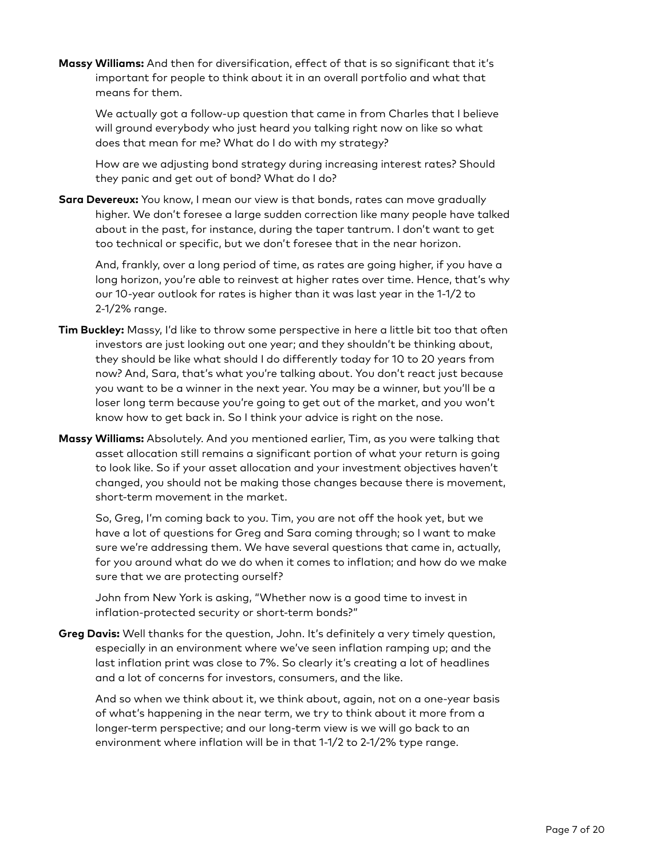**Massy Williams:** And then for diversification, effect of that is so significant that it's important for people to think about it in an overall portfolio and what that means for them.

We actually got a follow-up question that came in from Charles that I believe will ground everybody who just heard you talking right now on like so what does that mean for me? What do I do with my strategy?

How are we adjusting bond strategy during increasing interest rates? Should they panic and get out of bond? What do I do?

**Sara Devereux:** You know, I mean our view is that bonds, rates can move gradually higher. We don't foresee a large sudden correction like many people have talked about in the past, for instance, during the taper tantrum. I don't want to get too technical or specific, but we don't foresee that in the near horizon.

And, frankly, over a long period of time, as rates are going higher, if you have a long horizon, you're able to reinvest at higher rates over time. Hence, that's why our 10-year outlook for rates is higher than it was last year in the 1-1/2 to 2-1/2% range.

- **Tim Buckley:** Massy, I'd like to throw some perspective in here a little bit too that often investors are just looking out one year; and they shouldn't be thinking about, they should be like what should I do differently today for 10 to 20 years from now? And, Sara, that's what you're talking about. You don't react just because you want to be a winner in the next year. You may be a winner, but you'll be a loser long term because you're going to get out of the market, and you won't know how to get back in. So I think your advice is right on the nose.
- **Massy Williams:** Absolutely. And you mentioned earlier, Tim, as you were talking that asset allocation still remains a significant portion of what your return is going to look like. So if your asset allocation and your investment objectives haven't changed, you should not be making those changes because there is movement, short-term movement in the market.

So, Greg, I'm coming back to you. Tim, you are not off the hook yet, but we have a lot of questions for Greg and Sara coming through; so I want to make sure we're addressing them. We have several questions that came in, actually, for you around what do we do when it comes to inflation; and how do we make sure that we are protecting ourself?

John from New York is asking, "Whether now is a good time to invest in inflation-protected security or short-term bonds?"

**Greg Davis:** Well thanks for the question, John. It's definitely a very timely question, especially in an environment where we've seen inflation ramping up; and the last inflation print was close to 7%. So clearly it's creating a lot of headlines and a lot of concerns for investors, consumers, and the like.

And so when we think about it, we think about, again, not on a one-year basis of what's happening in the near term, we try to think about it more from a longer-term perspective; and our long-term view is we will go back to an environment where inflation will be in that 1-1/2 to 2-1/2% type range.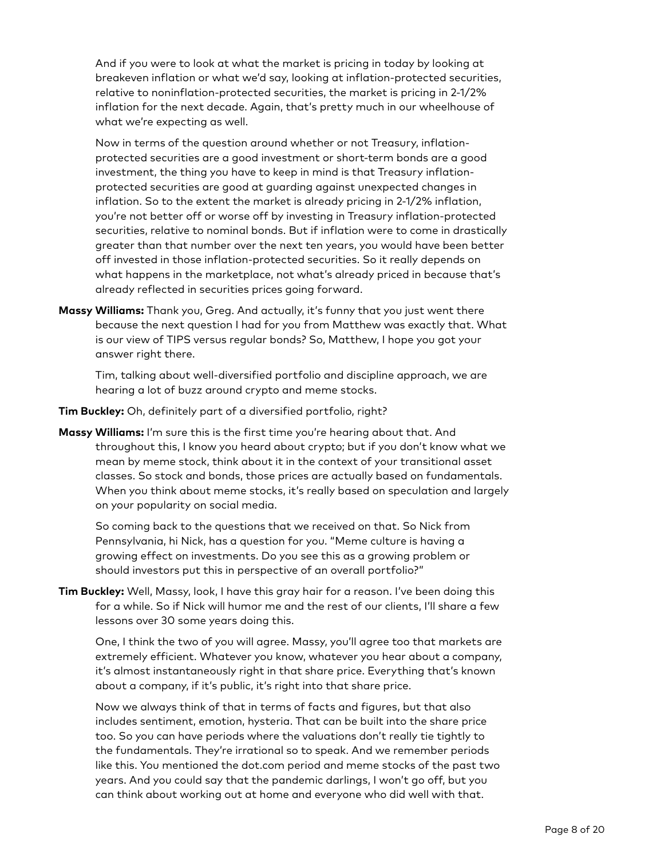And if you were to look at what the market is pricing in today by looking at breakeven inflation or what we'd say, looking at inflation-protected securities, relative to noninflation-protected securities, the market is pricing in 2-1/2% inflation for the next decade. Again, that's pretty much in our wheelhouse of what we're expecting as well.

Now in terms of the question around whether or not Treasury, inflationprotected securities are a good investment or short-term bonds are a good investment, the thing you have to keep in mind is that Treasury inflationprotected securities are good at guarding against unexpected changes in inflation. So to the extent the market is already pricing in 2-1/2% inflation, you're not better off or worse off by investing in Treasury inflation-protected securities, relative to nominal bonds. But if inflation were to come in drastically greater than that number over the next ten years, you would have been better off invested in those inflation-protected securities. So it really depends on what happens in the marketplace, not what's already priced in because that's already reflected in securities prices going forward.

**Massy Williams:** Thank you, Greg. And actually, it's funny that you just went there because the next question I had for you from Matthew was exactly that. What is our view of TIPS versus regular bonds? So, Matthew, I hope you got your answer right there.

Tim, talking about well-diversified portfolio and discipline approach, we are hearing a lot of buzz around crypto and meme stocks.

**Tim Buckley:** Oh, definitely part of a diversified portfolio, right?

**Massy Williams:** I'm sure this is the first time you're hearing about that. And throughout this, I know you heard about crypto; but if you don't know what we mean by meme stock, think about it in the context of your transitional asset classes. So stock and bonds, those prices are actually based on fundamentals. When you think about meme stocks, it's really based on speculation and largely on your popularity on social media.

So coming back to the questions that we received on that. So Nick from Pennsylvania, hi Nick, has a question for you. "Meme culture is having a growing effect on investments. Do you see this as a growing problem or should investors put this in perspective of an overall portfolio?"

**Tim Buckley:** Well, Massy, look, I have this gray hair for a reason. I've been doing this for a while. So if Nick will humor me and the rest of our clients, I'll share a few lessons over 30 some years doing this.

One, I think the two of you will agree. Massy, you'll agree too that markets are extremely efficient. Whatever you know, whatever you hear about a company, it's almost instantaneously right in that share price. Everything that's known about a company, if it's public, it's right into that share price.

Now we always think of that in terms of facts and figures, but that also includes sentiment, emotion, hysteria. That can be built into the share price too. So you can have periods where the valuations don't really tie tightly to the fundamentals. They're irrational so to speak. And we remember periods like this. You mentioned the dot.com period and meme stocks of the past two years. And you could say that the pandemic darlings, I won't go off, but you can think about working out at home and everyone who did well with that.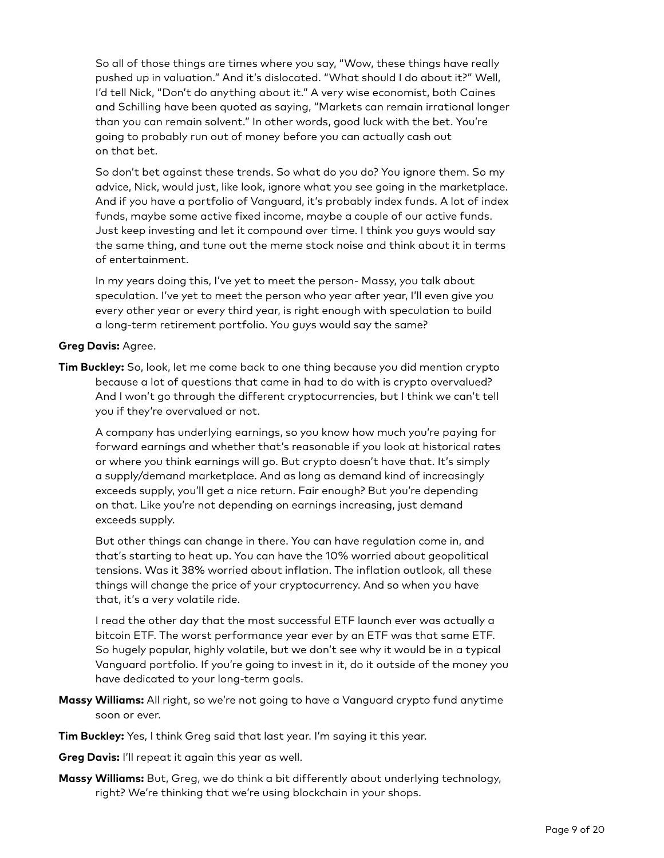So all of those things are times where you say, "Wow, these things have really pushed up in valuation." And it's dislocated. "What should I do about it?" Well, I'd tell Nick, "Don't do anything about it." A very wise economist, both Caines and Schilling have been quoted as saying, "Markets can remain irrational longer than you can remain solvent." In other words, good luck with the bet. You're going to probably run out of money before you can actually cash out on that bet.

So don't bet against these trends. So what do you do? You ignore them. So my advice, Nick, would just, like look, ignore what you see going in the marketplace. And if you have a portfolio of Vanguard, it's probably index funds. A lot of index funds, maybe some active fixed income, maybe a couple of our active funds. Just keep investing and let it compound over time. I think you guys would say the same thing, and tune out the meme stock noise and think about it in terms of entertainment.

In my years doing this, I've yet to meet the person- Massy, you talk about speculation. I've yet to meet the person who year after year, I'll even give you every other year or every third year, is right enough with speculation to build a long-term retirement portfolio. You guys would say the same?

### **Greg Davis:** Agree.

**Tim Buckley:** So, look, let me come back to one thing because you did mention crypto because a lot of questions that came in had to do with is crypto overvalued? And I won't go through the different cryptocurrencies, but I think we can't tell you if they're overvalued or not.

A company has underlying earnings, so you know how much you're paying for forward earnings and whether that's reasonable if you look at historical rates or where you think earnings will go. But crypto doesn't have that. It's simply a supply/demand marketplace. And as long as demand kind of increasingly exceeds supply, you'll get a nice return. Fair enough? But you're depending on that. Like you're not depending on earnings increasing, just demand exceeds supply.

But other things can change in there. You can have regulation come in, and that's starting to heat up. You can have the 10% worried about geopolitical tensions. Was it 38% worried about inflation. The inflation outlook, all these things will change the price of your cryptocurrency. And so when you have that, it's a very volatile ride.

I read the other day that the most successful ETF launch ever was actually a bitcoin ETF. The worst performance year ever by an ETF was that same ETF. So hugely popular, highly volatile, but we don't see why it would be in a typical Vanguard portfolio. If you're going to invest in it, do it outside of the money you have dedicated to your long-term goals.

- **Massy Williams:** All right, so we're not going to have a Vanguard crypto fund anytime soon or ever.
- **Tim Buckley:** Yes, I think Greg said that last year. I'm saying it this year.
- **Greg Davis:** I'll repeat it again this year as well.
- **Massy Williams:** But, Greg, we do think a bit differently about underlying technology, right? We're thinking that we're using blockchain in your shops.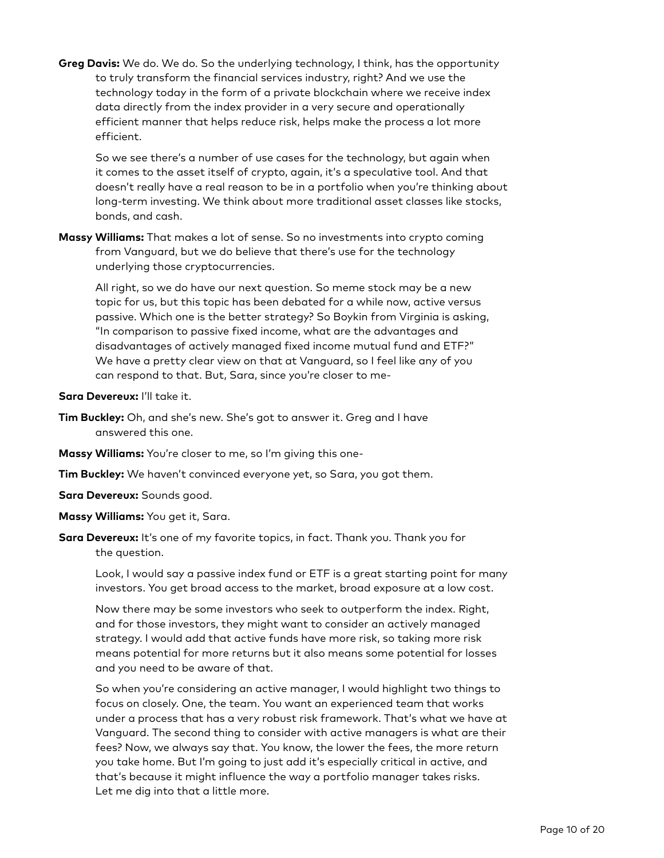**Greg Davis:** We do. We do. So the underlying technology, I think, has the opportunity to truly transform the financial services industry, right? And we use the technology today in the form of a private blockchain where we receive index data directly from the index provider in a very secure and operationally efficient manner that helps reduce risk, helps make the process a lot more efficient.

So we see there's a number of use cases for the technology, but again when it comes to the asset itself of crypto, again, it's a speculative tool. And that doesn't really have a real reason to be in a portfolio when you're thinking about long-term investing. We think about more traditional asset classes like stocks, bonds, and cash.

**Massy Williams:** That makes a lot of sense. So no investments into crypto coming from Vanguard, but we do believe that there's use for the technology underlying those cryptocurrencies.

All right, so we do have our next question. So meme stock may be a new topic for us, but this topic has been debated for a while now, active versus passive. Which one is the better strategy? So Boykin from Virginia is asking, "In comparison to passive fixed income, what are the advantages and disadvantages of actively managed fixed income mutual fund and ETF?" We have a pretty clear view on that at Vanguard, so I feel like any of you can respond to that. But, Sara, since you're closer to me-

**Sara Devereux:** I'll take it.

- **Tim Buckley:** Oh, and she's new. She's got to answer it. Greg and I have answered this one.
- **Massy Williams:** You're closer to me, so I'm giving this one-
- **Tim Buckley:** We haven't convinced everyone yet, so Sara, you got them.

**Sara Devereux:** Sounds good.

- **Massy Williams:** You get it, Sara.
- **Sara Devereux:** It's one of my favorite topics, in fact. Thank you. Thank you for the question.

Look, I would say a passive index fund or ETF is a great starting point for many investors. You get broad access to the market, broad exposure at a low cost.

Now there may be some investors who seek to outperform the index. Right, and for those investors, they might want to consider an actively managed strategy. I would add that active funds have more risk, so taking more risk means potential for more returns but it also means some potential for losses and you need to be aware of that.

So when you're considering an active manager, I would highlight two things to focus on closely. One, the team. You want an experienced team that works under a process that has a very robust risk framework. That's what we have at Vanguard. The second thing to consider with active managers is what are their fees? Now, we always say that. You know, the lower the fees, the more return you take home. But I'm going to just add it's especially critical in active, and that's because it might influence the way a portfolio manager takes risks. Let me dig into that a little more.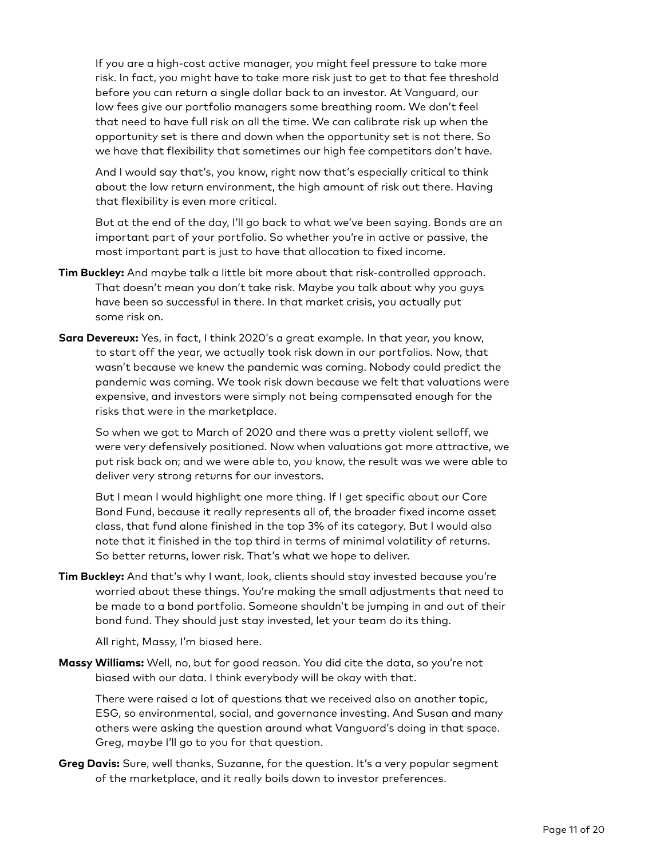If you are a high-cost active manager, you might feel pressure to take more risk. In fact, you might have to take more risk just to get to that fee threshold before you can return a single dollar back to an investor. At Vanguard, our low fees give our portfolio managers some breathing room. We don't feel that need to have full risk on all the time. We can calibrate risk up when the opportunity set is there and down when the opportunity set is not there. So we have that flexibility that sometimes our high fee competitors don't have.

And I would say that's, you know, right now that's especially critical to think about the low return environment, the high amount of risk out there. Having that flexibility is even more critical.

But at the end of the day, I'll go back to what we've been saying. Bonds are an important part of your portfolio. So whether you're in active or passive, the most important part is just to have that allocation to fixed income.

- **Tim Buckley:** And maybe talk a little bit more about that risk-controlled approach. That doesn't mean you don't take risk. Maybe you talk about why you guys have been so successful in there. In that market crisis, you actually put some risk on.
- **Sara Devereux:** Yes, in fact, I think 2020's a great example. In that year, you know, to start off the year, we actually took risk down in our portfolios. Now, that wasn't because we knew the pandemic was coming. Nobody could predict the pandemic was coming. We took risk down because we felt that valuations were expensive, and investors were simply not being compensated enough for the risks that were in the marketplace.

So when we got to March of 2020 and there was a pretty violent selloff, we were very defensively positioned. Now when valuations got more attractive, we put risk back on; and we were able to, you know, the result was we were able to deliver very strong returns for our investors.

But I mean I would highlight one more thing. If I get specific about our Core Bond Fund, because it really represents all of, the broader fixed income asset class, that fund alone finished in the top 3% of its category. But I would also note that it finished in the top third in terms of minimal volatility of returns. So better returns, lower risk. That's what we hope to deliver.

**Tim Buckley:** And that's why I want, look, clients should stay invested because you're worried about these things. You're making the small adjustments that need to be made to a bond portfolio. Someone shouldn't be jumping in and out of their bond fund. They should just stay invested, let your team do its thing.

All right, Massy, I'm biased here.

**Massy Williams:** Well, no, but for good reason. You did cite the data, so you're not biased with our data. I think everybody will be okay with that.

There were raised a lot of questions that we received also on another topic, ESG, so environmental, social, and governance investing. And Susan and many others were asking the question around what Vanguard's doing in that space. Greg, maybe I'll go to you for that question.

**Greg Davis:** Sure, well thanks, Suzanne, for the question. It's a very popular segment of the marketplace, and it really boils down to investor preferences.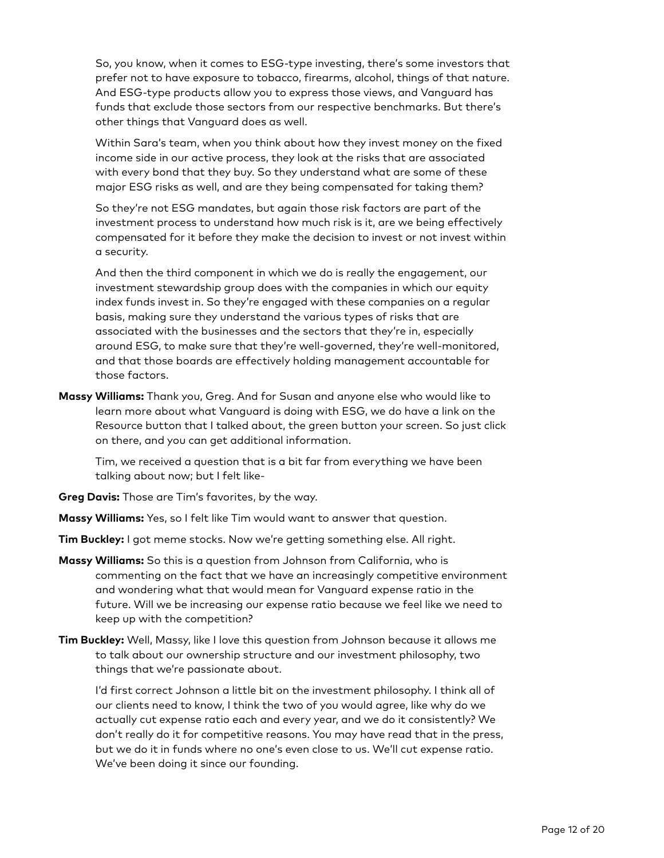So, you know, when it comes to ESG-type investing, there's some investors that prefer not to have exposure to tobacco, firearms, alcohol, things of that nature. And ESG-type products allow you to express those views, and Vanguard has funds that exclude those sectors from our respective benchmarks. But there's other things that Vanguard does as well.

Within Sara's team, when you think about how they invest money on the fixed income side in our active process, they look at the risks that are associated with every bond that they buy. So they understand what are some of these major ESG risks as well, and are they being compensated for taking them?

So they're not ESG mandates, but again those risk factors are part of the investment process to understand how much risk is it, are we being effectively compensated for it before they make the decision to invest or not invest within a security.

And then the third component in which we do is really the engagement, our investment stewardship group does with the companies in which our equity index funds invest in. So they're engaged with these companies on a regular basis, making sure they understand the various types of risks that are associated with the businesses and the sectors that they're in, especially around ESG, to make sure that they're well-governed, they're well-monitored, and that those boards are effectively holding management accountable for those factors.

**Massy Williams:** Thank you, Greg. And for Susan and anyone else who would like to learn more about what Vanguard is doing with ESG, we do have a link on the Resource button that I talked about, the green button your screen. So just click on there, and you can get additional information.

Tim, we received a question that is a bit far from everything we have been talking about now; but I felt like-

**Greg Davis:** Those are Tim's favorites, by the way.

**Massy Williams:** Yes, so I felt like Tim would want to answer that question.

**Tim Buckley:** I got meme stocks. Now we're getting something else. All right.

- **Massy Williams:** So this is a question from Johnson from California, who is commenting on the fact that we have an increasingly competitive environment and wondering what that would mean for Vanguard expense ratio in the future. Will we be increasing our expense ratio because we feel like we need to keep up with the competition?
- **Tim Buckley:** Well, Massy, like I love this question from Johnson because it allows me to talk about our ownership structure and our investment philosophy, two things that we're passionate about.

I'd first correct Johnson a little bit on the investment philosophy. I think all of our clients need to know, I think the two of you would agree, like why do we actually cut expense ratio each and every year, and we do it consistently? We don't really do it for competitive reasons. You may have read that in the press, but we do it in funds where no one's even close to us. We'll cut expense ratio. We've been doing it since our founding.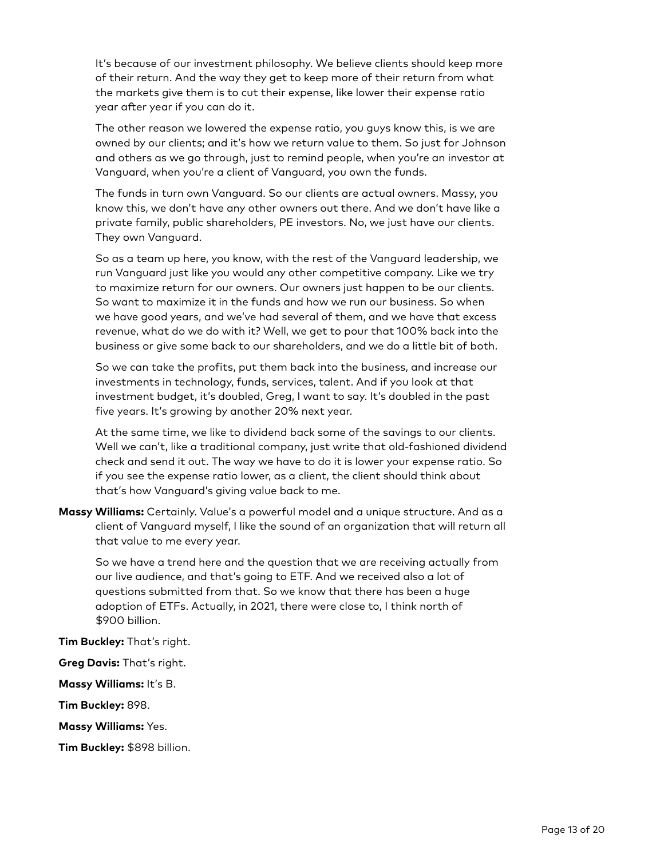It's because of our investment philosophy. We believe clients should keep more of their return. And the way they get to keep more of their return from what the markets give them is to cut their expense, like lower their expense ratio year after year if you can do it.

The other reason we lowered the expense ratio, you guys know this, is we are owned by our clients; and it's how we return value to them. So just for Johnson and others as we go through, just to remind people, when you're an investor at Vanguard, when you're a client of Vanguard, you own the funds.

The funds in turn own Vanguard. So our clients are actual owners. Massy, you know this, we don't have any other owners out there. And we don't have like a private family, public shareholders, PE investors. No, we just have our clients. They own Vanguard.

So as a team up here, you know, with the rest of the Vanguard leadership, we run Vanguard just like you would any other competitive company. Like we try to maximize return for our owners. Our owners just happen to be our clients. So want to maximize it in the funds and how we run our business. So when we have good years, and we've had several of them, and we have that excess revenue, what do we do with it? Well, we get to pour that 100% back into the business or give some back to our shareholders, and we do a little bit of both.

So we can take the profits, put them back into the business, and increase our investments in technology, funds, services, talent. And if you look at that investment budget, it's doubled, Greg, I want to say. It's doubled in the past five years. It's growing by another 20% next year.

At the same time, we like to dividend back some of the savings to our clients. Well we can't, like a traditional company, just write that old-fashioned dividend check and send it out. The way we have to do it is lower your expense ratio. So if you see the expense ratio lower, as a client, the client should think about that's how Vanguard's giving value back to me.

**Massy Williams:** Certainly. Value's a powerful model and a unique structure. And as a client of Vanguard myself, I like the sound of an organization that will return all that value to me every year.

So we have a trend here and the question that we are receiving actually from our live audience, and that's going to ETF. And we received also a lot of questions submitted from that. So we know that there has been a huge adoption of ETFs. Actually, in 2021, there were close to, I think north of \$900 billion.

**Tim Buckley:** That's right.

**Greg Davis:** That's right.

**Massy Williams:** It's B.

**Tim Buckley:** 898.

**Massy Williams:** Yes.

**Tim Buckley:** \$898 billion.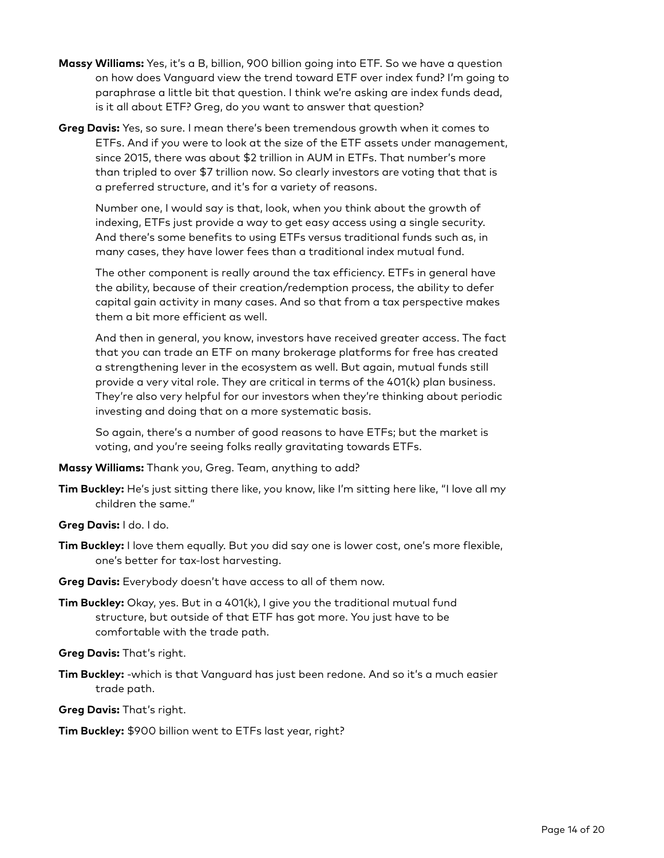- **Massy Williams:** Yes, it's a B, billion, 900 billion going into ETF. So we have a question on how does Vanguard view the trend toward ETF over index fund? I'm going to paraphrase a little bit that question. I think we're asking are index funds dead, is it all about ETF? Greg, do you want to answer that question?
- **Greg Davis:** Yes, so sure. I mean there's been tremendous growth when it comes to ETFs. And if you were to look at the size of the ETF assets under management, since 2015, there was about \$2 trillion in AUM in ETFs. That number's more than tripled to over \$7 trillion now. So clearly investors are voting that that is a preferred structure, and it's for a variety of reasons.

Number one, I would say is that, look, when you think about the growth of indexing, ETFs just provide a way to get easy access using a single security. And there's some benefits to using ETFs versus traditional funds such as, in many cases, they have lower fees than a traditional index mutual fund.

The other component is really around the tax efficiency. ETFs in general have the ability, because of their creation/redemption process, the ability to defer capital gain activity in many cases. And so that from a tax perspective makes them a bit more efficient as well.

And then in general, you know, investors have received greater access. The fact that you can trade an ETF on many brokerage platforms for free has created a strengthening lever in the ecosystem as well. But again, mutual funds still provide a very vital role. They are critical in terms of the 401(k) plan business. They're also very helpful for our investors when they're thinking about periodic investing and doing that on a more systematic basis.

So again, there's a number of good reasons to have ETFs; but the market is voting, and you're seeing folks really gravitating towards ETFs.

**Massy Williams:** Thank you, Greg. Team, anything to add?

- **Tim Buckley:** He's just sitting there like, you know, like I'm sitting here like, "I love all my children the same."
- **Greg Davis:** I do. I do.
- **Tim Buckley:** I love them equally. But you did say one is lower cost, one's more flexible, one's better for tax-lost harvesting.
- **Greg Davis:** Everybody doesn't have access to all of them now.
- **Tim Buckley:** Okay, yes. But in a 401(k), I give you the traditional mutual fund structure, but outside of that ETF has got more. You just have to be comfortable with the trade path.

**Greg Davis:** That's right.

**Tim Buckley:** -which is that Vanguard has just been redone. And so it's a much easier trade path.

**Greg Davis:** That's right.

**Tim Buckley:** \$900 billion went to ETFs last year, right?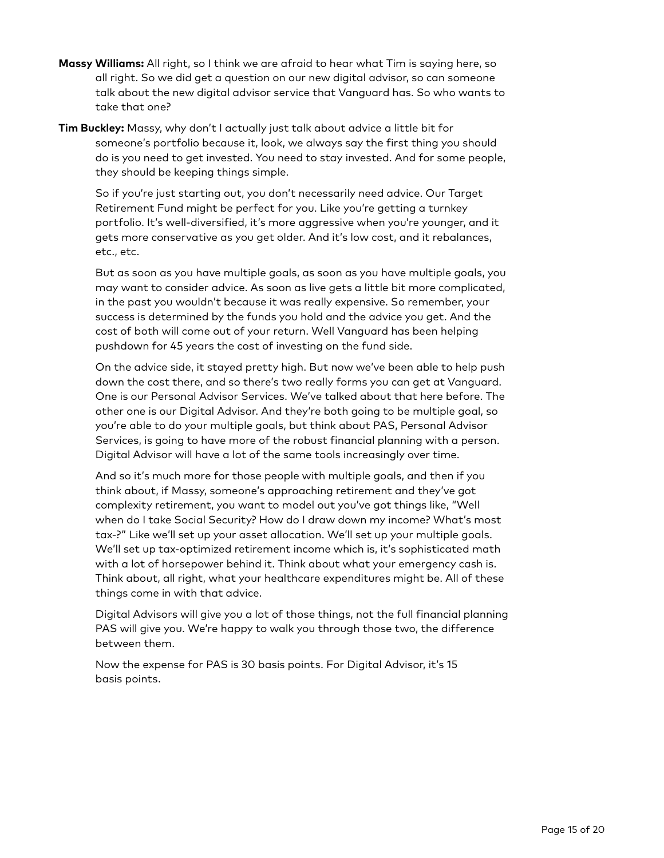- **Massy Williams:** All right, so I think we are afraid to hear what Tim is saying here, so all right. So we did get a question on our new digital advisor, so can someone talk about the new digital advisor service that Vanguard has. So who wants to take that one?
- **Tim Buckley:** Massy, why don't I actually just talk about advice a little bit for someone's portfolio because it, look, we always say the first thing you should do is you need to get invested. You need to stay invested. And for some people, they should be keeping things simple.

So if you're just starting out, you don't necessarily need advice. Our Target Retirement Fund might be perfect for you. Like you're getting a turnkey portfolio. It's well-diversified, it's more aggressive when you're younger, and it gets more conservative as you get older. And it's low cost, and it rebalances, etc., etc.

But as soon as you have multiple goals, as soon as you have multiple goals, you may want to consider advice. As soon as live gets a little bit more complicated, in the past you wouldn't because it was really expensive. So remember, your success is determined by the funds you hold and the advice you get. And the cost of both will come out of your return. Well Vanguard has been helping pushdown for 45 years the cost of investing on the fund side.

On the advice side, it stayed pretty high. But now we've been able to help push down the cost there, and so there's two really forms you can get at Vanguard. One is our Personal Advisor Services. We've talked about that here before. The other one is our Digital Advisor. And they're both going to be multiple goal, so you're able to do your multiple goals, but think about PAS, Personal Advisor Services, is going to have more of the robust financial planning with a person. Digital Advisor will have a lot of the same tools increasingly over time.

And so it's much more for those people with multiple goals, and then if you think about, if Massy, someone's approaching retirement and they've got complexity retirement, you want to model out you've got things like, "Well when do I take Social Security? How do I draw down my income? What's most tax-?" Like we'll set up your asset allocation. We'll set up your multiple goals. We'll set up tax-optimized retirement income which is, it's sophisticated math with a lot of horsepower behind it. Think about what your emergency cash is. Think about, all right, what your healthcare expenditures might be. All of these things come in with that advice.

Digital Advisors will give you a lot of those things, not the full financial planning PAS will give you. We're happy to walk you through those two, the difference between them.

Now the expense for PAS is 30 basis points. For Digital Advisor, it's 15 basis points.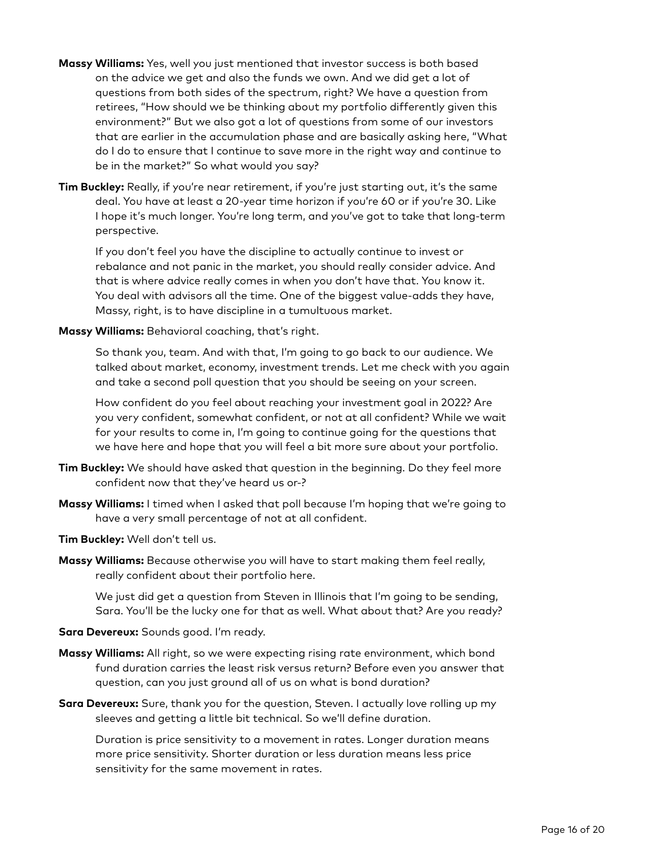- **Massy Williams:** Yes, well you just mentioned that investor success is both based on the advice we get and also the funds we own. And we did get a lot of questions from both sides of the spectrum, right? We have a question from retirees, "How should we be thinking about my portfolio differently given this environment?" But we also got a lot of questions from some of our investors that are earlier in the accumulation phase and are basically asking here, "What do I do to ensure that I continue to save more in the right way and continue to be in the market?" So what would you say?
- **Tim Buckley:** Really, if you're near retirement, if you're just starting out, it's the same deal. You have at least a 20-year time horizon if you're 60 or if you're 30. Like I hope it's much longer. You're long term, and you've got to take that long-term perspective.

If you don't feel you have the discipline to actually continue to invest or rebalance and not panic in the market, you should really consider advice. And that is where advice really comes in when you don't have that. You know it. You deal with advisors all the time. One of the biggest value-adds they have, Massy, right, is to have discipline in a tumultuous market.

#### **Massy Williams:** Behavioral coaching, that's right.

So thank you, team. And with that, I'm going to go back to our audience. We talked about market, economy, investment trends. Let me check with you again and take a second poll question that you should be seeing on your screen.

How confident do you feel about reaching your investment goal in 2022? Are you very confident, somewhat confident, or not at all confident? While we wait for your results to come in, I'm going to continue going for the questions that we have here and hope that you will feel a bit more sure about your portfolio.

- **Tim Buckley:** We should have asked that question in the beginning. Do they feel more confident now that they've heard us or-?
- **Massy Williams:** I timed when I asked that poll because I'm hoping that we're going to have a very small percentage of not at all confident.
- **Tim Buckley:** Well don't tell us.
- **Massy Williams:** Because otherwise you will have to start making them feel really, really confident about their portfolio here.

We just did get a question from Steven in Illinois that I'm going to be sending, Sara. You'll be the lucky one for that as well. What about that? Are you ready?

### **Sara Devereux:** Sounds good. I'm ready.

- **Massy Williams:** All right, so we were expecting rising rate environment, which bond fund duration carries the least risk versus return? Before even you answer that question, can you just ground all of us on what is bond duration?
- **Sara Devereux:** Sure, thank you for the question, Steven. I actually love rolling up my sleeves and getting a little bit technical. So we'll define duration.

Duration is price sensitivity to a movement in rates. Longer duration means more price sensitivity. Shorter duration or less duration means less price sensitivity for the same movement in rates.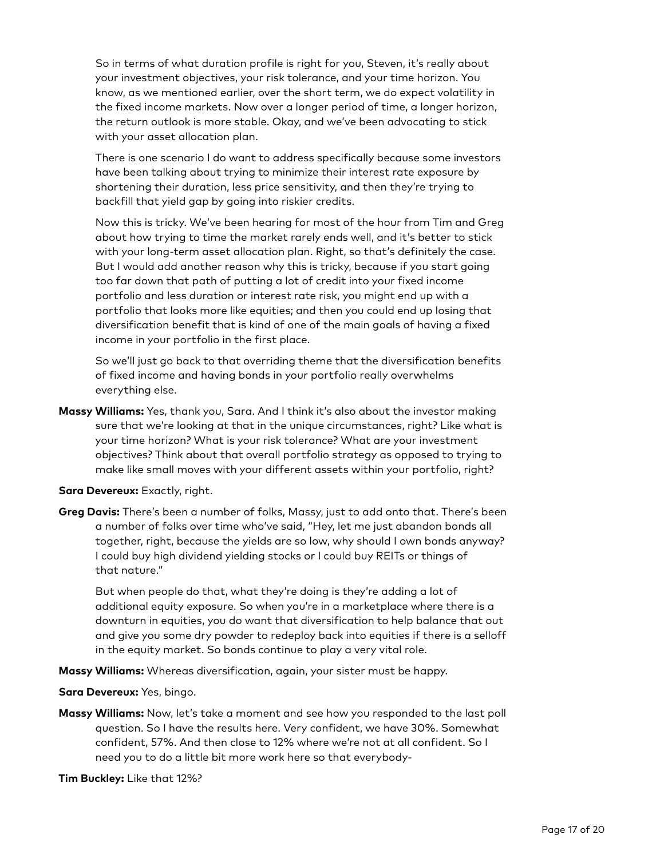So in terms of what duration profile is right for you, Steven, it's really about your investment objectives, your risk tolerance, and your time horizon. You know, as we mentioned earlier, over the short term, we do expect volatility in the fixed income markets. Now over a longer period of time, a longer horizon, the return outlook is more stable. Okay, and we've been advocating to stick with your asset allocation plan.

There is one scenario I do want to address specifically because some investors have been talking about trying to minimize their interest rate exposure by shortening their duration, less price sensitivity, and then they're trying to backfill that yield gap by going into riskier credits.

Now this is tricky. We've been hearing for most of the hour from Tim and Greg about how trying to time the market rarely ends well, and it's better to stick with your long-term asset allocation plan. Right, so that's definitely the case. But I would add another reason why this is tricky, because if you start going too far down that path of putting a lot of credit into your fixed income portfolio and less duration or interest rate risk, you might end up with a portfolio that looks more like equities; and then you could end up losing that diversification benefit that is kind of one of the main goals of having a fixed income in your portfolio in the first place.

So we'll just go back to that overriding theme that the diversification benefits of fixed income and having bonds in your portfolio really overwhelms everything else.

**Massy Williams:** Yes, thank you, Sara. And I think it's also about the investor making sure that we're looking at that in the unique circumstances, right? Like what is your time horizon? What is your risk tolerance? What are your investment objectives? Think about that overall portfolio strategy as opposed to trying to make like small moves with your different assets within your portfolio, right?

**Sara Devereux:** Exactly, right.

**Greg Davis:** There's been a number of folks, Massy, just to add onto that. There's been a number of folks over time who've said, "Hey, let me just abandon bonds all together, right, because the yields are so low, why should I own bonds anyway? I could buy high dividend yielding stocks or I could buy REITs or things of that nature."

But when people do that, what they're doing is they're adding a lot of additional equity exposure. So when you're in a marketplace where there is a downturn in equities, you do want that diversification to help balance that out and give you some dry powder to redeploy back into equities if there is a selloff in the equity market. So bonds continue to play a very vital role.

**Massy Williams:** Whereas diversification, again, your sister must be happy.

**Sara Devereux:** Yes, bingo.

**Massy Williams:** Now, let's take a moment and see how you responded to the last poll question. So I have the results here. Very confident, we have 30%. Somewhat confident, 57%. And then close to 12% where we're not at all confident. So I need you to do a little bit more work here so that everybody-

**Tim Buckley:** Like that 12%?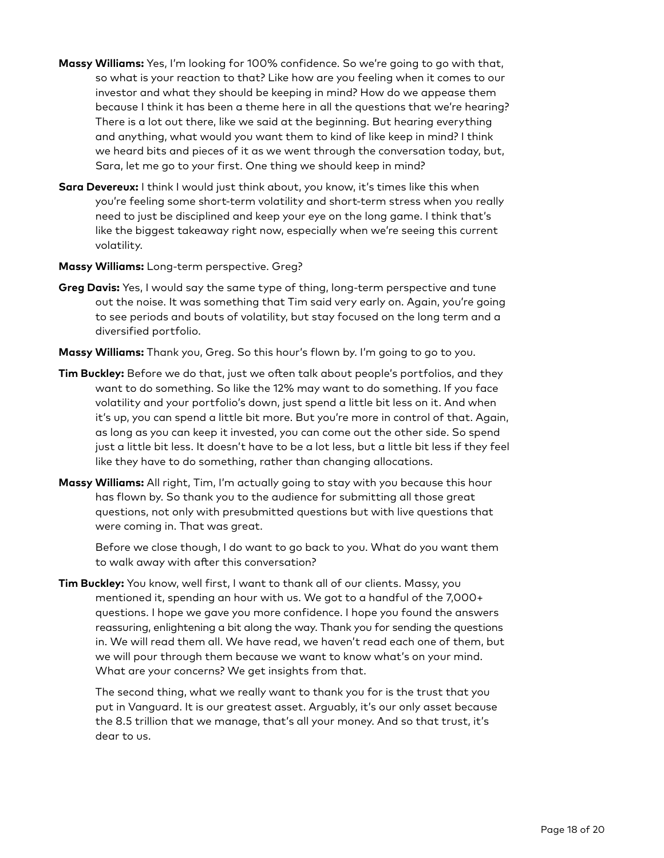- **Massy Williams:** Yes, I'm looking for 100% confidence. So we're going to go with that, so what is your reaction to that? Like how are you feeling when it comes to our investor and what they should be keeping in mind? How do we appease them because I think it has been a theme here in all the questions that we're hearing? There is a lot out there, like we said at the beginning. But hearing everything and anything, what would you want them to kind of like keep in mind? I think we heard bits and pieces of it as we went through the conversation today, but, Sara, let me go to your first. One thing we should keep in mind?
- **Sara Devereux:** I think I would just think about, you know, it's times like this when you're feeling some short-term volatility and short-term stress when you really need to just be disciplined and keep your eye on the long game. I think that's like the biggest takeaway right now, especially when we're seeing this current volatility.
- **Massy Williams:** Long-term perspective. Greg?
- **Greg Davis:** Yes, I would say the same type of thing, long-term perspective and tune out the noise. It was something that Tim said very early on. Again, you're going to see periods and bouts of volatility, but stay focused on the long term and a diversified portfolio.
- **Massy Williams:** Thank you, Greg. So this hour's flown by. I'm going to go to you.
- **Tim Buckley:** Before we do that, just we often talk about people's portfolios, and they want to do something. So like the 12% may want to do something. If you face volatility and your portfolio's down, just spend a little bit less on it. And when it's up, you can spend a little bit more. But you're more in control of that. Again, as long as you can keep it invested, you can come out the other side. So spend just a little bit less. It doesn't have to be a lot less, but a little bit less if they feel like they have to do something, rather than changing allocations.
- **Massy Williams:** All right, Tim, I'm actually going to stay with you because this hour has flown by. So thank you to the audience for submitting all those great questions, not only with presubmitted questions but with live questions that were coming in. That was great.

Before we close though, I do want to go back to you. What do you want them to walk away with after this conversation?

**Tim Buckley:** You know, well first, I want to thank all of our clients. Massy, you mentioned it, spending an hour with us. We got to a handful of the 7,000+ questions. I hope we gave you more confidence. I hope you found the answers reassuring, enlightening a bit along the way. Thank you for sending the questions in. We will read them all. We have read, we haven't read each one of them, but we will pour through them because we want to know what's on your mind. What are your concerns? We get insights from that.

The second thing, what we really want to thank you for is the trust that you put in Vanguard. It is our greatest asset. Arguably, it's our only asset because the 8.5 trillion that we manage, that's all your money. And so that trust, it's dear to us.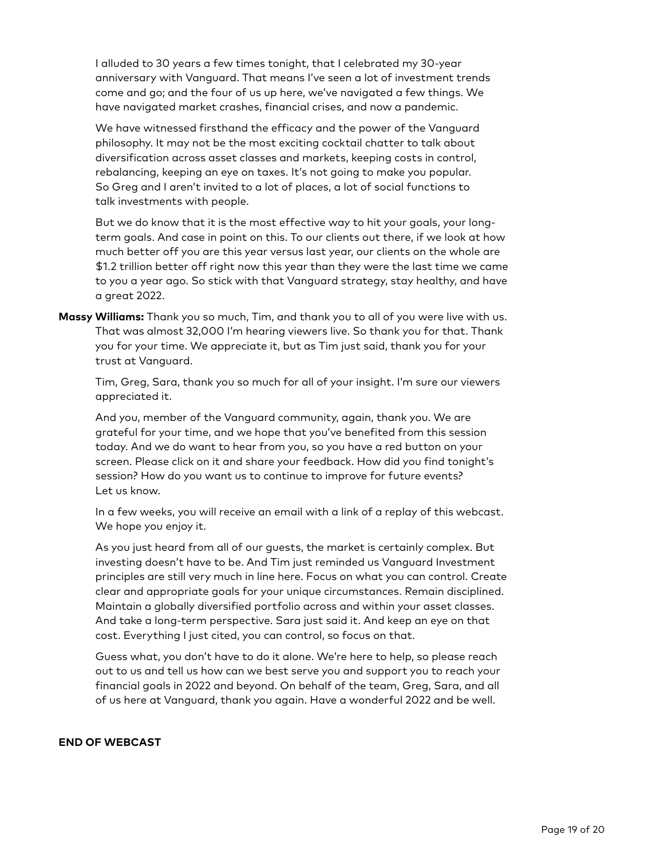I alluded to 30 years a few times tonight, that I celebrated my 30-year anniversary with Vanguard. That means I've seen a lot of investment trends come and go; and the four of us up here, we've navigated a few things. We have navigated market crashes, financial crises, and now a pandemic.

We have witnessed firsthand the efficacy and the power of the Vanguard philosophy. It may not be the most exciting cocktail chatter to talk about diversification across asset classes and markets, keeping costs in control, rebalancing, keeping an eye on taxes. It's not going to make you popular. So Greg and I aren't invited to a lot of places, a lot of social functions to talk investments with people.

But we do know that it is the most effective way to hit your goals, your longterm goals. And case in point on this. To our clients out there, if we look at how much better off you are this year versus last year, our clients on the whole are \$1.2 trillion better off right now this year than they were the last time we came to you a year ago. So stick with that Vanguard strategy, stay healthy, and have a great 2022.

**Massy Williams:** Thank you so much, Tim, and thank you to all of you were live with us. That was almost 32,000 I'm hearing viewers live. So thank you for that. Thank you for your time. We appreciate it, but as Tim just said, thank you for your trust at Vanguard.

Tim, Greg, Sara, thank you so much for all of your insight. I'm sure our viewers appreciated it.

And you, member of the Vanguard community, again, thank you. We are grateful for your time, and we hope that you've benefited from this session today. And we do want to hear from you, so you have a red button on your screen. Please click on it and share your feedback. How did you find tonight's session? How do you want us to continue to improve for future events? Let us know.

In a few weeks, you will receive an email with a link of a replay of this webcast. We hope you enjoy it.

As you just heard from all of our guests, the market is certainly complex. But investing doesn't have to be. And Tim just reminded us Vanguard Investment principles are still very much in line here. Focus on what you can control. Create clear and appropriate goals for your unique circumstances. Remain disciplined. Maintain a globally diversified portfolio across and within your asset classes. And take a long-term perspective. Sara just said it. And keep an eye on that cost. Everything I just cited, you can control, so focus on that.

Guess what, you don't have to do it alone. We're here to help, so please reach out to us and tell us how can we best serve you and support you to reach your financial goals in 2022 and beyond. On behalf of the team, Greg, Sara, and all of us here at Vanguard, thank you again. Have a wonderful 2022 and be well.

#### **END OF WEBCAST**